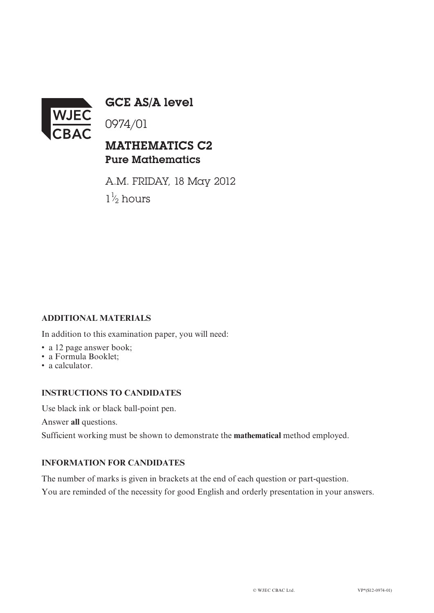

GCE AS/A level

0974/01

## MATHEMATICS C2 Pure Mathematics

A.M. FRIDAY, 18 May 2012  $1\frac{1}{2}$  hours ⁄

## **ADDITIONAL MATERIALS**

In addition to this examination paper, you will need:

- a 12 page answer book;
- a Formula Booklet;
- a calculator.

## **INSTRUCTIONS TO CANDIDATES**

Use black ink or black ball-point pen.

Answer **all** questions.

Sufficient working must be shown to demonstrate the **mathematical** method employed.

## **INFORMATION FOR CANDIDATES**

The number of marks is given in brackets at the end of each question or part-question.

You are reminded of the necessity for good English and orderly presentation in your answers.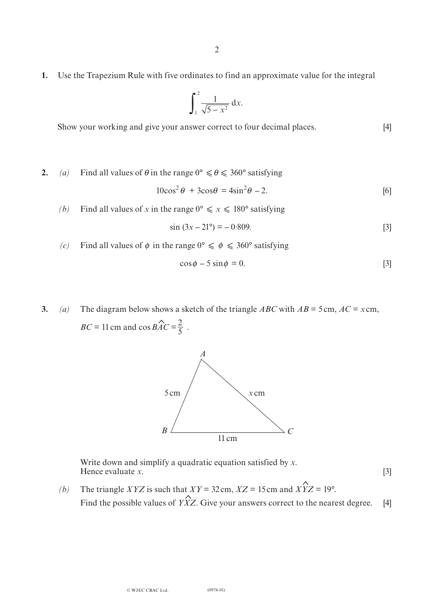**1.** Use the Trapezium Rule with five ordinates to find an approximate value for the integral

$$
\int_1^2 \frac{1}{\sqrt{5-x^2}} \, \mathrm{d}x.
$$

Show your working and give your answer correct to four decimal places. [4]

**2.** (a) Find all values of  $\theta$  in the range  $0^{\circ} \le \theta \le 360^{\circ}$  satisfying

$$
10\cos^2\theta + 3\cos\theta = 4\sin^2\theta - 2.
$$
 [6]

*(b)* Find all values of *x* in the range  $0^{\circ} \le x \le 180^{\circ}$  satisfying

$$
\sin(3x - 21^{\circ}) = -0.809. \tag{3}
$$

*(c)* Find all values of  $\phi$  in the range  $0^{\circ} \le \phi \le 360^{\circ}$  satisfying

$$
\cos \phi - 5 \sin \phi = 0. \tag{3}
$$

**3.** *(a)* The diagram below shows a sketch of the triangle *ABC* with  $AB = 5$ cm,  $AC = x$ cm,  $BC = 11$  cm and cos  $BAC = \frac{2}{5}$ .  $\hat{a}c-2$ 5



Write down and simplify a quadratic equation satisfied by *x*. Hence evaluate *x*. [3]

ι<br>∧  $\triangle$ *(b)* The triangle *XYZ* is such that *XY* = 32cm, *XZ* = 15 cm and *XYZ* = 19°. Find the possible values of *YXZ*. Give your answers correct to the nearest degree. [4]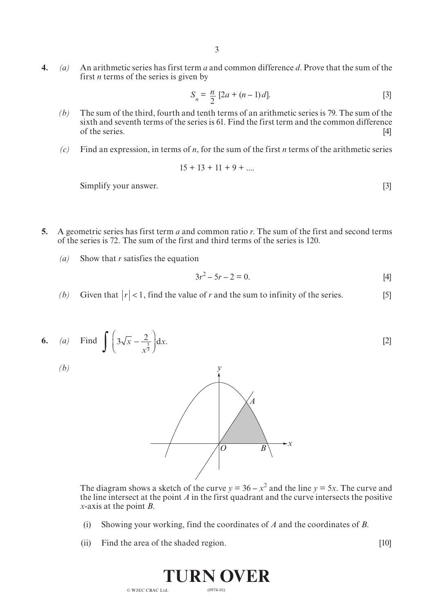**4.** *(a)* An arithmetic series has first term *a* and common difference *d*. Prove that the sum of the first *n* terms of the series is given by

$$
S_n = \frac{n}{2} [2a + (n-1)d].
$$
 [3]

- *(b)* The sum of the third, fourth and tenth terms of an arithmetic series is 79. The sum of the sixth and seventh terms of the series is 61. Find the first term and the common difference of the series.  $[4]$
- *(c)* Find an expression, in terms of *n*, for the sum of the first *n* terms of the arithmetic series

$$
15 + 13 + 11 + 9 + \dots
$$

Simplify your answer. [3]

- **5.** A geometric series has first term *a* and common ratio *r*. The sum of the first and second terms of the series is 72. The sum of the first and third terms of the series is 120.
	- *(a)* Show that *r* satisfies the equation

$$
3r^2 - 5r - 2 = 0.
$$
 [4]

- *(b)* Given that  $|r| < 1$ , find the value of *r* and the sum to infinity of the series. [5]
- $\int \left(3\sqrt{x}\right)$  $\overline{a}$  $3\sqrt{x} - \frac{2}{x^{\frac{5}{3}}}$ *x x* 6. *(a)* Find  $\int 3\sqrt{x - \frac{2}{5}} dx$ . [2]



The diagram shows a sketch of the curve  $y = 36 - x^2$  and the line  $y = 5x$ . The curve and the line intersect at the point *A* in the first quadrant and the curve intersects the positive *x*-axis at the point *B*.

- (i) Showing your working, find the coordinates of *A* and the coordinates of *B*.
- (ii) Find the area of the shaded region. [10]

(0974-01) **Turn over** © WJEC CBAC Ltd.